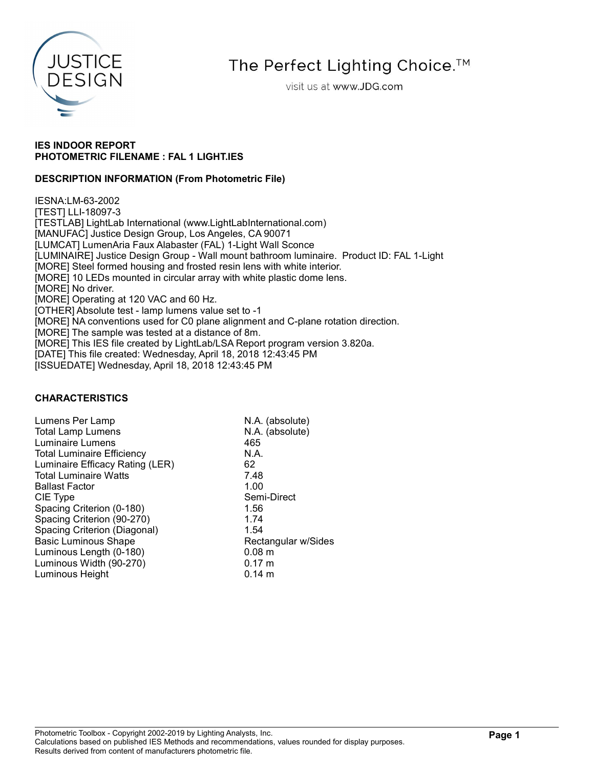

# The Perfect Lighting Choice.<sup>™</sup>

visit us at www.JDG.com

### IES INDOOR REPORT PHOTOMETRIC FILENAME : FAL 1 LIGHT.IES

### DESCRIPTION INFORMATION (From Photometric File)

IESNA:LM-63-2002 [TEST] LLI-18097-3 [TESTLAB] LightLab International (www.LightLabInternational.com) [MANUFAC] Justice Design Group, Los Angeles, CA 90071 [LUMCAT] LumenAria Faux Alabaster (FAL) 1-Light Wall Sconce [LUMINAIRE] Justice Design Group - Wall mount bathroom luminaire. Product ID: FAL 1-Light [MORE] Steel formed housing and frosted resin lens with white interior. [MORE] 10 LEDs mounted in circular array with white plastic dome lens. [MORE] No driver. [MORE] Operating at 120 VAC and 60 Hz. [OTHER] Absolute test - lamp lumens value set to -1 [MORE] NA conventions used for C0 plane alignment and C-plane rotation direction. [MORE] The sample was tested at a distance of 8m. [MORE] This IES file created by LightLab/LSA Report program version 3.820a. [DATE] This file created: Wednesday, April 18, 2018 12:43:45 PM [ISSUEDATE] Wednesday, April 18, 2018 12:43:45 PM

### CHARACTERISTICS

| Lumens Per Lamp                   | N.A. (absolute)     |
|-----------------------------------|---------------------|
| <b>Total Lamp Lumens</b>          | N.A. (absolute)     |
| <b>Luminaire Lumens</b>           | 465                 |
| <b>Total Luminaire Efficiency</b> | N.A.                |
| Luminaire Efficacy Rating (LER)   | 62                  |
| <b>Total Luminaire Watts</b>      | 7.48                |
| <b>Ballast Factor</b>             | 1.00                |
| CIE Type                          | Semi-Direct         |
| Spacing Criterion (0-180)         | 1.56                |
| Spacing Criterion (90-270)        | 1.74                |
| Spacing Criterion (Diagonal)      | 1.54                |
| <b>Basic Luminous Shape</b>       | Rectangular w/Sides |
| Luminous Length (0-180)           | 0.08 <sub>m</sub>   |
| Luminous Width (90-270)           | $0.17 \; m$         |
| Luminous Height                   | $0.14 \;{\rm m}$    |
|                                   |                     |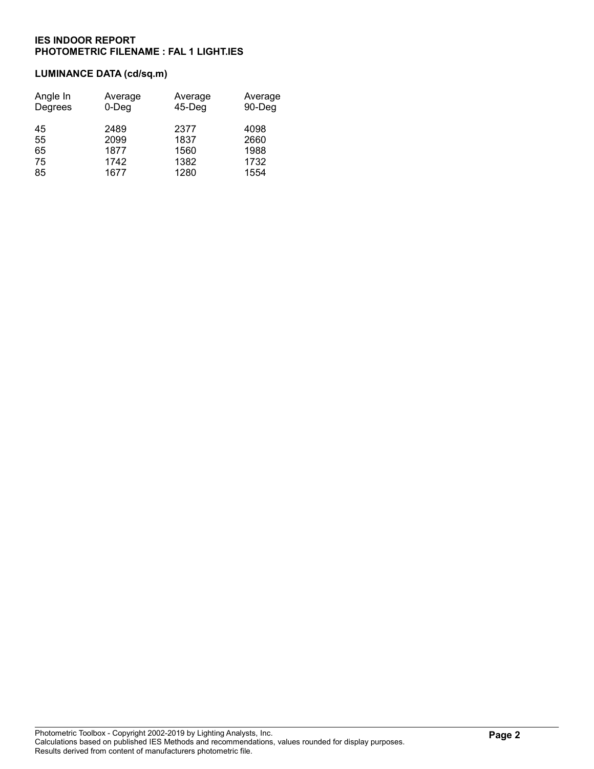## LUMINANCE DATA (cd/sq.m)

| Angle In<br>Degrees | Average<br>0-Deg | Average<br>$45$ -Deg | Average<br>90-Deg |
|---------------------|------------------|----------------------|-------------------|
| 45                  | 2489             | 2377                 | 4098              |
| 55                  | 2099             | 1837                 | 2660              |
| 65                  | 1877             | 1560                 | 1988              |
| 75                  | 1742             | 1382                 | 1732              |
| 85                  | 1677             | 1280                 | 1554              |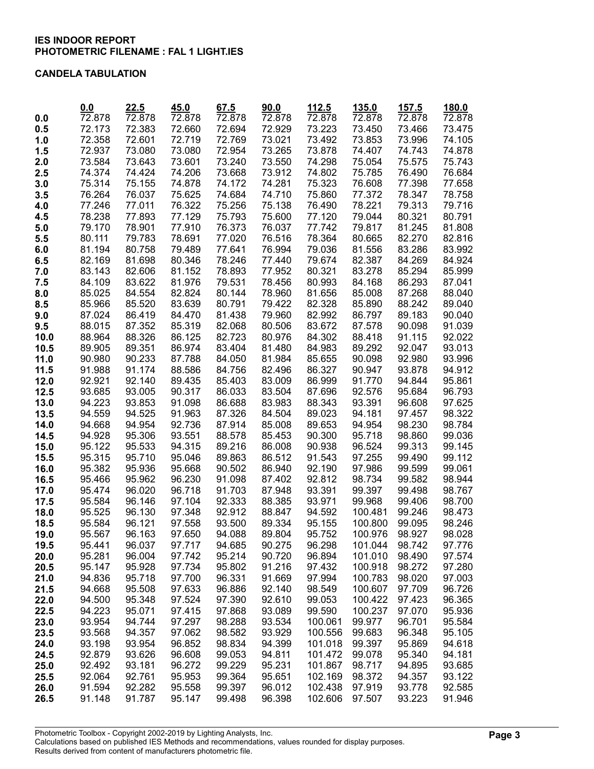### CANDELA TABULATION

|              | 0.0                 | 22.5             | 45.0             | 67.5             | 90.0             | 112.5            | 135.0               | 157.5               | 180.0            |
|--------------|---------------------|------------------|------------------|------------------|------------------|------------------|---------------------|---------------------|------------------|
| 0.0          | $\overline{72.878}$ | 72.878           | 72.878           | 72.878           | 72.878           | 72.878           | $\overline{72.878}$ | $\overline{72.878}$ | 72.878           |
| 0.5          | 72.173              | 72.383           | 72.660           | 72.694           | 72.929           | 73.223           | 73.450              | 73.466              | 73.475           |
| 1.0          | 72.358              | 72.601           | 72.719           | 72.769           | 73.021           | 73.492           | 73.853              | 73.996              | 74.105           |
| 1.5          | 72.937              | 73.080           | 73.080           | 72.954           | 73.265           | 73.878           | 74.407              | 74.743              | 74.878           |
| 2.0          | 73.584              | 73.643           | 73.601           | 73.240           | 73.550           | 74.298           | 75.054              | 75.575              | 75.743           |
| 2.5          | 74.374              | 74.424           | 74.206           | 73.668           | 73.912           | 74.802           | 75.785              | 76.490              | 76.684           |
| 3.0          | 75.314              | 75.155           | 74.878           | 74.172           | 74.281           | 75.323           | 76.608              | 77.398              | 77.658           |
| 3.5          | 76.264              | 76.037           | 75.625           | 74.684           | 74.710           | 75.860           | 77.372              | 78.347              | 78.758           |
| 4.0          | 77.246              | 77.011           | 76.322           | 75.256           | 75.138           | 76.490           | 78.221              | 79.313              | 79.716           |
| 4.5          | 78.238              | 77.893           | 77.129           | 75.793           | 75.600           | 77.120           | 79.044              | 80.321              | 80.791           |
| 5.0          | 79.170              | 78.901           | 77.910           | 76.373           | 76.037           | 77.742           | 79.817              | 81.245              | 81.808           |
| 5.5          | 80.111              | 79.783           | 78.691           | 77.020           | 76.516           | 78.364           | 80.665              | 82.270              | 82.816           |
| 6.0          | 81.194              | 80.758           | 79.489           | 77.641           | 76.994           | 79.036           | 81.556              | 83.286              | 83.992           |
| 6.5          | 82.169              | 81.698           | 80.346           | 78.246           | 77.440           | 79.674           | 82.387              | 84.269              | 84.924           |
| 7.0          | 83.143              | 82.606           | 81.152           | 78.893           | 77.952           | 80.321           | 83.278              | 85.294              | 85.999           |
| 7.5          | 84.109              | 83.622           | 81.976           | 79.531           | 78.456           | 80.993           | 84.168              | 86.293              | 87.041           |
| 8.0          | 85.025              | 84.554           | 82.824           | 80.144           | 78.960           | 81.656           | 85.008              | 87.268              | 88.040           |
| 8.5          | 85.966              | 85.520           | 83.639           | 80.791           | 79.422           | 82.328           | 85.890              | 88.242              | 89.040           |
| 9.0          | 87.024              | 86.419           | 84.470           | 81.438           | 79.960           | 82.992           | 86.797              | 89.183              | 90.040           |
| 9.5          | 88.015              | 87.352           | 85.319           | 82.068           | 80.506           | 83.672           | 87.578              | 90.098              | 91.039           |
| 10.0         | 88.964              | 88.326           | 86.125           | 82.723           | 80.976           | 84.302           | 88.418<br>89.292    | 91.115<br>92.047    | 92.022<br>93.013 |
| 10.5<br>11.0 | 89.905<br>90.980    | 89.351<br>90.233 | 86.974<br>87.788 | 83.404<br>84.050 | 81.480<br>81.984 | 84.983<br>85.655 | 90.098              | 92.980              | 93.996           |
| 11.5         | 91.988              | 91.174           | 88.586           | 84.756           | 82.496           | 86.327           | 90.947              | 93.878              | 94.912           |
| 12.0         | 92.921              | 92.140           | 89.435           | 85.403           | 83.009           | 86.999           | 91.770              | 94.844              | 95.861           |
| 12.5         | 93.685              | 93.005           | 90.317           | 86.033           | 83.504           | 87.696           | 92.576              | 95.684              | 96.793           |
| 13.0         | 94.223              | 93.853           | 91.098           | 86.688           | 83.983           | 88.343           | 93.391              | 96.608              | 97.625           |
| 13.5         | 94.559              | 94.525           | 91.963           | 87.326           | 84.504           | 89.023           | 94.181              | 97.457              | 98.322           |
| 14.0         | 94.668              | 94.954           | 92.736           | 87.914           | 85.008           | 89.653           | 94.954              | 98.230              | 98.784           |
| 14.5         | 94.928              | 95.306           | 93.551           | 88.578           | 85.453           | 90.300           | 95.718              | 98.860              | 99.036           |
| 15.0         | 95.122              | 95.533           | 94.315           | 89.216           | 86.008           | 90.938           | 96.524              | 99.313              | 99.145           |
| 15.5         | 95.315              | 95.710           | 95.046           | 89.863           | 86.512           | 91.543           | 97.255              | 99.490              | 99.112           |
| 16.0         | 95.382              | 95.936           | 95.668           | 90.502           | 86.940           | 92.190           | 97.986              | 99.599              | 99.061           |
| 16.5         | 95.466              | 95.962           | 96.230           | 91.098           | 87.402           | 92.812           | 98.734              | 99.582              | 98.944           |
| 17.0         | 95.474              | 96.020           | 96.718           | 91.703           | 87.948           | 93.391           | 99.397              | 99.498              | 98.767           |
| 17.5         | 95.584              | 96.146           | 97.104           | 92.333           | 88.385           | 93.971           | 99.968              | 99.406              | 98.700           |
| 18.0         | 95.525              | 96.130           | 97.348           | 92.912           | 88.847           | 94.592           | 100.481             | 99.246              | 98.473           |
| 18.5         | 95.584              | 96.121           | 97.558           | 93.500           | 89.334           | 95.155           | 100.800             | 99.095              | 98.246           |
| 19.0         | 95.567              | 96.163           | 97.650           | 94.088           | 89.804           | 95.752           | 100.976             | 98.927              | 98.028           |
| 19.5         | 95.441              | 96.037           | 97.717           | 94.685           | 90.275           | 96.298           | 101.044             | 98.742              | 97.776           |
| 20.0         | 95.281              | 96.004           | 97.742           | 95.214           | 90.720           | 96.894           | 101.010             | 98.490              | 97.574           |
| 20.5         | 95.147              | 95.928           | 97.734           | 95.802           | 91.216           | 97.432           | 100.918             | 98.272              | 97.280           |
| 21.0         | 94.836              | 95.718           | 97.700           | 96.331           | 91.669           | 97.994           | 100.783             | 98.020              | 97.003           |
| 21.5         | 94.668<br>94.500    | 95.508<br>95.348 | 97.633<br>97.524 | 96.886<br>97.390 | 92.140           | 98.549           | 100.607<br>100.422  | 97.709<br>97.423    | 96.726<br>96.365 |
| 22.0<br>22.5 | 94.223              | 95.071           | 97.415           | 97.868           | 92.610<br>93.089 | 99.053<br>99.590 | 100.237             | 97.070              | 95.936           |
| 23.0         | 93.954              | 94.744           | 97.297           | 98.288           | 93.534           | 100.061          | 99.977              | 96.701              | 95.584           |
| 23.5         | 93.568              | 94.357           | 97.062           | 98.582           | 93.929           | 100.556          | 99.683              | 96.348              | 95.105           |
| 24.0         | 93.198              | 93.954           | 96.852           | 98.834           | 94.399           | 101.018          | 99.397              | 95.869              | 94.618           |
| 24.5         | 92.879              | 93.626           | 96.608           | 99.053           | 94.811           | 101.472          | 99.078              | 95.340              | 94.181           |
| 25.0         | 92.492              | 93.181           | 96.272           | 99.229           | 95.231           | 101.867          | 98.717              | 94.895              | 93.685           |
| 25.5         | 92.064              | 92.761           | 95.953           | 99.364           | 95.651           | 102.169          | 98.372              | 94.357              | 93.122           |
| 26.0         | 91.594              | 92.282           | 95.558           | 99.397           | 96.012           | 102.438          | 97.919              | 93.778              | 92.585           |
| 26.5         | 91.148              | 91.787           | 95.147           | 99.498           | 96.398           | 102.606          | 97.507              | 93.223              | 91.946           |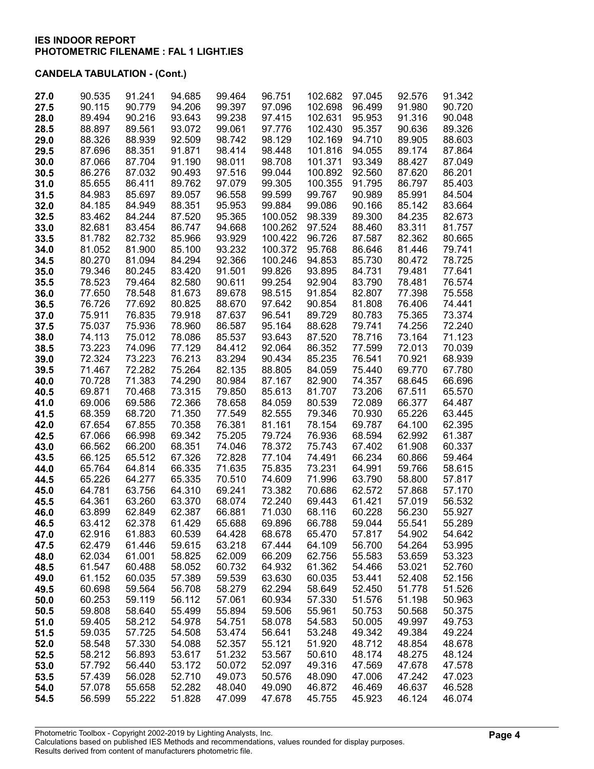| 27.0         | 90.535           | 91.241           | 94.685           | 99.464           | 96.751           | 102.682          | 97.045           | 92.576           | 91.342           |
|--------------|------------------|------------------|------------------|------------------|------------------|------------------|------------------|------------------|------------------|
| 27.5         | 90.115           | 90.779           | 94.206           | 99.397           | 97.096           | 102.698          | 96.499           | 91.980           | 90.720           |
| 28.0         | 89.494           | 90.216           | 93.643           | 99.238           | 97.415           | 102.631          | 95.953           | 91.316           | 90.048           |
| 28.5         | 88.897           | 89.561           | 93.072           | 99.061           | 97.776           | 102.430          | 95.357           | 90.636           | 89.326           |
| 29.0         | 88.326           | 88.939           | 92.509           | 98.742           | 98.129           | 102.169          | 94.710           | 89.905           | 88.603           |
| 29.5         | 87.696           | 88.351           | 91.871           | 98.414           | 98.448           | 101.816          | 94.055           | 89.174           | 87.864           |
| 30.0         | 87.066           | 87.704           | 91.190           | 98.011           | 98.708           | 101.371          | 93.349           | 88.427           | 87.049           |
| 30.5         | 86.276           | 87.032           | 90.493           | 97.516           | 99.044           | 100.892          | 92.560           | 87.620           | 86.201           |
| 31.0         | 85.655           | 86.411           | 89.762           | 97.079           | 99.305           | 100.355          | 91.795           | 86.797           | 85.403           |
| 31.5         | 84.983           | 85.697           | 89.057           | 96.558           | 99.599           | 99.767           | 90.989           | 85.991           | 84.504           |
| 32.0         | 84.185           | 84.949           | 88.351           | 95.953           | 99.884           | 99.086           | 90.166           | 85.142           | 83.664           |
| 32.5         | 83.462           | 84.244           | 87.520           | 95.365           | 100.052          | 98.339           | 89.300           | 84.235           | 82.673           |
| 33.0         | 82.681           | 83.454           | 86.747           | 94.668           | 100.262          | 97.524           | 88.460           | 83.311           | 81.757           |
| 33.5         | 81.782           | 82.732           | 85.966           | 93.929           | 100.422          | 96.726           | 87.587           | 82.362           | 80.665           |
| 34.0         | 81.052           | 81.900           | 85.100           | 93.232           | 100.372          | 95.768           | 86.646           | 81.446           | 79.741           |
| 34.5         | 80.270           | 81.094           | 84.294           | 92.366           | 100.246          | 94.853           | 85.730           | 80.472           | 78.725           |
| 35.0         | 79.346           | 80.245           | 83.420           | 91.501           | 99.826           | 93.895           | 84.731           | 79.481           | 77.641           |
| 35.5         | 78.523           | 79.464           | 82.580           | 90.611           | 99.254           | 92.904           | 83.790           | 78.481           | 76.574           |
| 36.0         | 77.650           | 78.548           | 81.673           | 89.678           | 98.515           | 91.854           | 82.807           | 77.398           | 75.558           |
| 36.5         | 76.726           | 77.692           | 80.825           | 88.670           | 97.642           | 90.854           | 81.808           | 76.406           | 74.441           |
| 37.0         | 75.911           | 76.835           | 79.918           | 87.637           | 96.541           | 89.729           | 80.783           | 75.365           | 73.374           |
| 37.5         | 75.037           | 75.936           | 78.960           | 86.587           | 95.164           | 88.628           | 79.741           | 74.256           | 72.240           |
| 38.0         | 74.113           | 75.012           | 78.086           | 85.537           | 93.643           | 87.520           | 78.716           | 73.164           | 71.123           |
| 38.5         | 73.223           | 74.096           | 77.129           | 84.412           | 92.064           | 86.352           | 77.599           | 72.013           | 70.039           |
| 39.0         | 72.324           | 73.223           | 76.213           | 83.294           | 90.434           | 85.235           | 76.541           | 70.921           | 68.939           |
| 39.5         | 71.467           | 72.282           | 75.264           | 82.135           | 88.805           | 84.059           | 75.440           | 69.770           | 67.780           |
| 40.0         | 70.728           | 71.383           | 74.290           | 80.984           | 87.167           | 82.900           | 74.357           | 68.645           | 66.696           |
| 40.5         | 69.871           | 70.468           | 73.315           | 79.850           | 85.613           | 81.707           | 73.206           | 67.511           | 65.570           |
| 41.0         | 69.006           | 69.586           | 72.366           | 78.658           | 84.059           | 80.539           | 72.089           | 66.377           | 64.487           |
| 41.5         | 68.359           | 68.720           | 71.350           | 77.549           | 82.555           | 79.346           | 70.930           | 65.226           | 63.445           |
| 42.0         | 67.654           | 67.855           | 70.358           | 76.381           | 81.161           | 78.154           | 69.787           | 64.100           | 62.395           |
| 42.5         | 67.066           | 66.998           | 69.342           | 75.205           | 79.724           | 76.936           | 68.594           | 62.992           | 61.387           |
| 43.0         | 66.562           | 66.200           | 68.351           | 74.046           | 78.372           | 75.743           | 67.402<br>66.234 | 61.908           | 60.337           |
| 43.5         | 66.125<br>65.764 | 65.512<br>64.814 | 67.326<br>66.335 | 72.828<br>71.635 | 77.104<br>75.835 | 74.491<br>73.231 | 64.991           | 60.866<br>59.766 | 59.464           |
| 44.0<br>44.5 | 65.226           | 64.277           | 65.335           | 70.510           | 74.609           | 71.996           | 63.790           | 58.800           | 58.615<br>57.817 |
| 45.0         | 64.781           | 63.756           | 64.310           | 69.241           | 73.382           | 70.686           | 62.572           | 57.868           | 57.170           |
| 45.5         | 64.361           | 63.260           | 63.370           | 68.074           | 72.240           | 69.443           | 61.421           | 57.019           | 56.532           |
| 46.0         | 63.899           | 62.849           | 62.387           | 66.881           | 71.030           | 68.116           | 60.228           | 56.230           | 55.927           |
| 46.5         | 63.412           | 62.378           | 61.429           | 65.688           | 69.896           | 66.788           | 59.044           | 55.541           | 55.289           |
| 47.0         | 62.916           | 61.883           | 60.539           | 64.428           | 68.678           | 65.470           | 57.817           | 54.902           | 54.642           |
| 47.5         | 62.479           | 61.446           | 59.615           | 63.218           | 67.444           | 64.109           | 56.700           | 54.264           | 53.995           |
| 48.0         | 62.034           | 61.001           | 58.825           | 62.009           | 66.209           | 62.756           | 55.583           | 53.659           | 53.323           |
| 48.5         | 61.547           | 60.488           | 58.052           | 60.732           | 64.932           | 61.362           | 54.466           | 53.021           | 52.760           |
| 49.0         | 61.152           | 60.035           | 57.389           | 59.539           | 63.630           | 60.035           | 53.441           | 52.408           | 52.156           |
| 49.5         | 60.698           | 59.564           | 56.708           | 58.279           | 62.294           | 58.649           | 52.450           | 51.778           | 51.526           |
| 50.0         | 60.253           | 59.119           | 56.112           | 57.061           | 60.934           | 57.330           | 51.576           | 51.198           | 50.963           |
| 50.5         | 59.808           | 58.640           | 55.499           | 55.894           | 59.506           | 55.961           | 50.753           | 50.568           | 50.375           |
| 51.0         | 59.405           | 58.212           | 54.978           | 54.751           | 58.078           | 54.583           | 50.005           | 49.997           | 49.753           |
| 51.5         | 59.035           | 57.725           | 54.508           | 53.474           | 56.641           | 53.248           | 49.342           | 49.384           | 49.224           |
| 52.0         | 58.548           | 57.330           | 54.088           | 52.357           | 55.121           | 51.920           | 48.712           | 48.854           | 48.678           |
| 52.5         | 58.212           | 56.893           | 53.617           | 51.232           | 53.567           | 50.610           | 48.174           | 48.275           | 48.124           |
| 53.0         | 57.792           | 56.440           | 53.172           | 50.072           | 52.097           | 49.316           | 47.569           | 47.678           | 47.578           |
| 53.5         | 57.439           | 56.028           | 52.710           | 49.073           | 50.576           | 48.090           | 47.006           | 47.242           | 47.023           |
| 54.0         | 57.078           | 55.658           | 52.282           | 48.040           | 49.090           | 46.872           | 46.469           | 46.637           | 46.528           |
| 54.5         | 56.599           | 55.222           | 51.828           | 47.099           | 47.678           | 45.755           | 45.923           | 46.124           | 46.074           |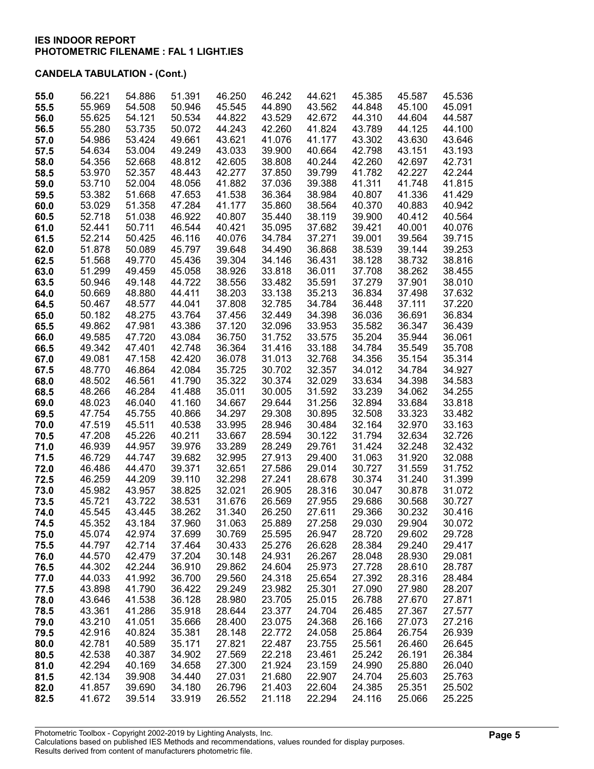|      | 56.221 | 54.886 | 51.391 | 46.250 | 46.242 | 44.621 | 45.385 | 45.587 | 45.536 |
|------|--------|--------|--------|--------|--------|--------|--------|--------|--------|
| 55.0 |        |        |        |        |        |        |        |        |        |
| 55.5 | 55.969 | 54.508 | 50.946 | 45.545 | 44.890 | 43.562 | 44.848 | 45.100 | 45.091 |
| 56.0 | 55.625 | 54.121 | 50.534 | 44.822 | 43.529 | 42.672 | 44.310 | 44.604 | 44.587 |
| 56.5 | 55.280 | 53.735 | 50.072 | 44.243 | 42.260 | 41.824 | 43.789 | 44.125 | 44.100 |
| 57.0 | 54.986 | 53.424 | 49.661 | 43.621 | 41.076 | 41.177 | 43.302 | 43.630 | 43.646 |
| 57.5 | 54.634 | 53.004 | 49.249 | 43.033 | 39.900 | 40.664 | 42.798 | 43.151 | 43.193 |
|      |        |        | 48.812 |        |        |        | 42.260 |        |        |
| 58.0 | 54.356 | 52.668 |        | 42.605 | 38.808 | 40.244 |        | 42.697 | 42.731 |
| 58.5 | 53.970 | 52.357 | 48.443 | 42.277 | 37.850 | 39.799 | 41.782 | 42.227 | 42.244 |
| 59.0 | 53.710 | 52.004 | 48.056 | 41.882 | 37.036 | 39.388 | 41.311 | 41.748 | 41.815 |
| 59.5 | 53.382 | 51.668 | 47.653 | 41.538 | 36.364 | 38.984 | 40.807 | 41.336 | 41.429 |
| 60.0 | 53.029 | 51.358 | 47.284 | 41.177 | 35.860 | 38.564 | 40.370 | 40.883 | 40.942 |
| 60.5 | 52.718 | 51.038 | 46.922 | 40.807 | 35.440 | 38.119 | 39.900 | 40.412 | 40.564 |
|      | 52.441 | 50.711 | 46.544 | 40.421 | 35.095 | 37.682 | 39.421 | 40.001 | 40.076 |
| 61.0 |        |        |        |        |        |        |        |        |        |
| 61.5 | 52.214 | 50.425 | 46.116 | 40.076 | 34.784 | 37.271 | 39.001 | 39.564 | 39.715 |
| 62.0 | 51.878 | 50.089 | 45.797 | 39.648 | 34.490 | 36.868 | 38.539 | 39.144 | 39.253 |
| 62.5 | 51.568 | 49.770 | 45.436 | 39.304 | 34.146 | 36.431 | 38.128 | 38.732 | 38.816 |
| 63.0 | 51.299 | 49.459 | 45.058 | 38.926 | 33.818 | 36.011 | 37.708 | 38.262 | 38.455 |
| 63.5 | 50.946 | 49.148 | 44.722 | 38.556 | 33.482 | 35.591 | 37.279 | 37.901 | 38.010 |
| 64.0 | 50.669 | 48.880 | 44.411 | 38.203 | 33.138 | 35.213 | 36.834 | 37.498 | 37.632 |
|      |        |        |        |        |        |        |        | 37.111 |        |
| 64.5 | 50.467 | 48.577 | 44.041 | 37.808 | 32.785 | 34.784 | 36.448 |        | 37.220 |
| 65.0 | 50.182 | 48.275 | 43.764 | 37.456 | 32.449 | 34.398 | 36.036 | 36.691 | 36.834 |
| 65.5 | 49.862 | 47.981 | 43.386 | 37.120 | 32.096 | 33.953 | 35.582 | 36.347 | 36.439 |
| 66.0 | 49.585 | 47.720 | 43.084 | 36.750 | 31.752 | 33.575 | 35.204 | 35.944 | 36.061 |
| 66.5 | 49.342 | 47.401 | 42.748 | 36.364 | 31.416 | 33.188 | 34.784 | 35.549 | 35.708 |
| 67.0 | 49.081 | 47.158 | 42.420 | 36.078 | 31.013 | 32.768 | 34.356 | 35.154 | 35.314 |
| 67.5 | 48.770 | 46.864 | 42.084 | 35.725 | 30.702 | 32.357 | 34.012 | 34.784 | 34.927 |
|      |        |        |        |        |        |        |        |        |        |
| 68.0 | 48.502 | 46.561 | 41.790 | 35.322 | 30.374 | 32.029 | 33.634 | 34.398 | 34.583 |
| 68.5 | 48.266 | 46.284 | 41.488 | 35.011 | 30.005 | 31.592 | 33.239 | 34.062 | 34.255 |
| 69.0 | 48.023 | 46.040 | 41.160 | 34.667 | 29.644 | 31.256 | 32.894 | 33.684 | 33.818 |
| 69.5 | 47.754 | 45.755 | 40.866 | 34.297 | 29.308 | 30.895 | 32.508 | 33.323 | 33.482 |
| 70.0 | 47.519 | 45.511 | 40.538 | 33.995 | 28.946 | 30.484 | 32.164 | 32.970 | 33.163 |
| 70.5 | 47.208 | 45.226 | 40.211 | 33.667 | 28.594 | 30.122 | 31.794 | 32.634 | 32.726 |
| 71.0 | 46.939 | 44.957 | 39.976 | 33.289 | 28.249 | 29.761 | 31.424 | 32.248 | 32.432 |
|      |        |        |        |        |        |        |        |        |        |
| 71.5 | 46.729 | 44.747 | 39.682 | 32.995 | 27.913 | 29.400 | 31.063 | 31.920 | 32.088 |
| 72.0 | 46.486 | 44.470 | 39.371 | 32.651 | 27.586 | 29.014 | 30.727 | 31.559 | 31.752 |
| 72.5 | 46.259 | 44.209 | 39.110 | 32.298 | 27.241 | 28.678 | 30.374 | 31.240 | 31.399 |
| 73.0 | 45.982 | 43.957 | 38.825 | 32.021 | 26.905 | 28.316 | 30.047 | 30.878 | 31.072 |
| 73.5 | 45.721 | 43.722 | 38.531 | 31.676 | 26.569 | 27.955 | 29.686 | 30.568 | 30.727 |
| 74.0 | 45.545 | 43.445 | 38.262 | 31.340 | 26.250 | 27.611 | 29.366 | 30.232 | 30.416 |
| 74.5 | 45.352 | 43.184 | 37.960 | 31.063 | 25.889 | 27.258 | 29.030 | 29.904 | 30.072 |
| 75.0 | 45.074 | 42.974 | 37.699 | 30.769 | 25.595 | 26.947 | 28.720 | 29.602 | 29.728 |
|      |        |        |        |        |        |        |        |        |        |
| 75.5 | 44.797 | 42.714 | 37.464 | 30.433 | 25.276 | 26.628 | 28.384 | 29.240 | 29.417 |
| 76.0 | 44.570 | 42.479 | 37.204 | 30.148 | 24.931 | 26.267 | 28.048 | 28.930 | 29.081 |
| 76.5 | 44.302 | 42.244 | 36.910 | 29.862 | 24.604 | 25.973 | 27.728 | 28.610 | 28.787 |
| 77.0 | 44.033 | 41.992 | 36.700 | 29.560 | 24.318 | 25.654 | 27.392 | 28.316 | 28.484 |
| 77.5 | 43.898 | 41.790 | 36.422 | 29.249 | 23.982 | 25.301 | 27.090 | 27.980 | 28.207 |
| 78.0 | 43.646 | 41.538 | 36.128 | 28.980 | 23.705 | 25.015 | 26.788 | 27.670 | 27.871 |
| 78.5 | 43.361 | 41.286 | 35.918 | 28.644 | 23.377 | 24.704 | 26.485 | 27.367 | 27.577 |
|      |        |        |        |        |        |        |        |        |        |
| 79.0 | 43.210 | 41.051 | 35.666 | 28.400 | 23.075 | 24.368 | 26.166 | 27.073 | 27.216 |
| 79.5 | 42.916 | 40.824 | 35.381 | 28.148 | 22.772 | 24.058 | 25.864 | 26.754 | 26.939 |
| 80.0 | 42.781 | 40.589 | 35.171 | 27.821 | 22.487 | 23.755 | 25.561 | 26.460 | 26.645 |
| 80.5 | 42.538 | 40.387 | 34.902 | 27.569 | 22.218 | 23.461 | 25.242 | 26.191 | 26.384 |
| 81.0 | 42.294 | 40.169 | 34.658 | 27.300 | 21.924 | 23.159 | 24.990 | 25.880 | 26.040 |
| 81.5 | 42.134 | 39.908 | 34.440 | 27.031 | 21.680 | 22.907 | 24.704 | 25.603 | 25.763 |
|      | 41.857 | 39.690 | 34.180 | 26.796 | 21.403 | 22.604 | 24.385 | 25.351 | 25.502 |
| 82.0 |        |        |        |        |        |        |        |        |        |
| 82.5 | 41.672 | 39.514 | 33.919 | 26.552 | 21.118 | 22.294 | 24.116 | 25.066 | 25.225 |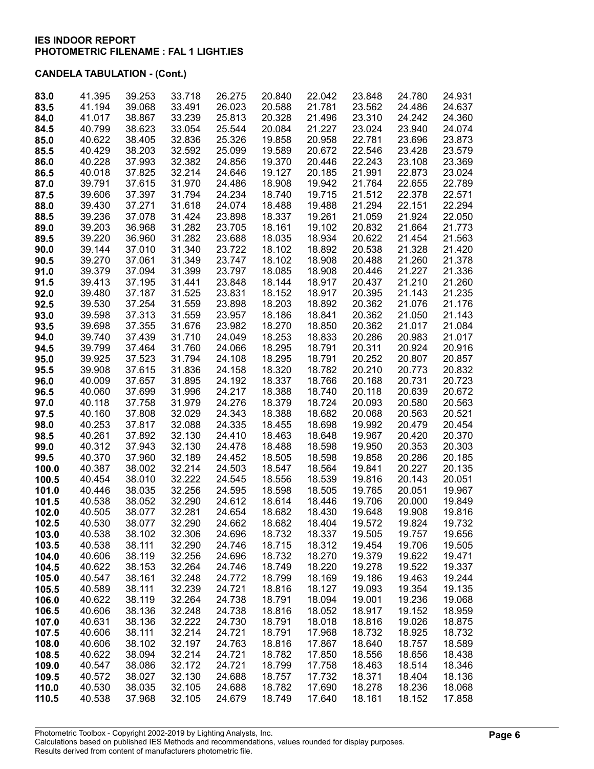| 83.0  | 41.395 | 39.253 | 33.718 | 26.275 | 20.840 | 22.042 | 23.848 | 24.780 | 24.931 |
|-------|--------|--------|--------|--------|--------|--------|--------|--------|--------|
| 83.5  | 41.194 | 39.068 | 33.491 | 26.023 | 20.588 | 21.781 | 23.562 | 24.486 | 24.637 |
| 84.0  | 41.017 | 38.867 | 33.239 | 25.813 | 20.328 | 21.496 | 23.310 | 24.242 | 24.360 |
| 84.5  | 40.799 | 38.623 | 33.054 | 25.544 | 20.084 | 21.227 | 23.024 | 23.940 | 24.074 |
| 85.0  | 40.622 | 38.405 | 32.836 | 25.326 | 19.858 | 20.958 | 22.781 | 23.696 | 23.873 |
| 85.5  | 40.429 | 38.203 | 32.592 | 25.099 | 19.589 | 20.672 | 22.546 | 23.428 | 23.579 |
| 86.0  | 40.228 | 37.993 | 32.382 | 24.856 | 19.370 | 20.446 | 22.243 | 23.108 | 23.369 |
| 86.5  | 40.018 | 37.825 | 32.214 | 24.646 | 19.127 | 20.185 | 21.991 | 22.873 | 23.024 |
| 87.0  | 39.791 | 37.615 | 31.970 | 24.486 | 18.908 | 19.942 | 21.764 | 22.655 | 22.789 |
| 87.5  | 39.606 | 37.397 | 31.794 | 24.234 | 18.740 | 19.715 | 21.512 | 22.378 | 22.571 |
| 88.0  | 39.430 | 37.271 | 31.618 | 24.074 | 18.488 | 19.488 | 21.294 | 22.151 | 22.294 |
| 88.5  | 39.236 | 37.078 | 31.424 | 23.898 | 18.337 | 19.261 | 21.059 | 21.924 | 22.050 |
| 89.0  | 39.203 | 36.968 | 31.282 | 23.705 | 18.161 | 19.102 | 20.832 | 21.664 | 21.773 |
| 89.5  | 39.220 | 36.960 | 31.282 | 23.688 | 18.035 | 18.934 | 20.622 | 21.454 | 21.563 |
| 90.0  | 39.144 | 37.010 | 31.340 | 23.722 | 18.102 | 18.892 | 20.538 | 21.328 | 21.420 |
| 90.5  | 39.270 | 37.061 | 31.349 | 23.747 | 18.102 | 18.908 | 20.488 | 21.260 | 21.378 |
| 91.0  | 39.379 | 37.094 | 31.399 | 23.797 | 18.085 | 18.908 | 20.446 | 21.227 | 21.336 |
| 91.5  | 39.413 | 37.195 | 31.441 | 23.848 | 18.144 | 18.917 | 20.437 | 21.210 | 21.260 |
| 92.0  | 39.480 | 37.187 | 31.525 | 23.831 | 18.152 | 18.917 | 20.395 | 21.143 | 21.235 |
| 92.5  | 39.530 | 37.254 | 31.559 | 23.898 | 18.203 | 18.892 | 20.362 | 21.076 | 21.176 |
| 93.0  | 39.598 | 37.313 | 31.559 | 23.957 | 18.186 | 18.841 | 20.362 | 21.050 | 21.143 |
| 93.5  | 39.698 | 37.355 | 31.676 | 23.982 | 18.270 | 18.850 | 20.362 | 21.017 | 21.084 |
| 94.0  | 39.740 | 37.439 | 31.710 | 24.049 | 18.253 | 18.833 | 20.286 | 20.983 | 21.017 |
| 94.5  | 39.799 | 37.464 | 31.760 | 24.066 | 18.295 | 18.791 | 20.311 | 20.924 | 20.916 |
| 95.0  | 39.925 | 37.523 | 31.794 | 24.108 | 18.295 | 18.791 | 20.252 | 20.807 | 20.857 |
| 95.5  | 39.908 | 37.615 | 31.836 | 24.158 | 18.320 | 18.782 | 20.210 | 20.773 | 20.832 |
| 96.0  | 40.009 | 37.657 | 31.895 | 24.192 | 18.337 | 18.766 | 20.168 | 20.731 | 20.723 |
| 96.5  | 40.060 | 37.699 | 31.996 | 24.217 | 18.388 | 18.740 | 20.118 | 20.639 | 20.672 |
| 97.0  | 40.118 | 37.758 | 31.979 | 24.276 | 18.379 | 18.724 | 20.093 | 20.580 | 20.563 |
| 97.5  | 40.160 | 37.808 | 32.029 | 24.343 | 18.388 | 18.682 | 20.068 | 20.563 | 20.521 |
| 98.0  | 40.253 | 37.817 | 32.088 | 24.335 | 18.455 | 18.698 | 19.992 | 20.479 | 20.454 |
| 98.5  | 40.261 | 37.892 | 32.130 | 24.410 | 18.463 | 18.648 | 19.967 | 20.420 | 20.370 |
| 99.0  | 40.312 | 37.943 | 32.130 | 24.478 | 18.488 | 18.598 | 19.950 | 20.353 | 20.303 |
| 99.5  | 40.370 | 37.960 | 32.189 | 24.452 | 18.505 | 18.598 | 19.858 | 20.286 | 20.185 |
| 100.0 | 40.387 | 38.002 | 32.214 | 24.503 | 18.547 | 18.564 | 19.841 | 20.227 | 20.135 |
| 100.5 | 40.454 | 38.010 | 32.222 | 24.545 | 18.556 | 18.539 | 19.816 | 20.143 | 20.051 |
| 101.0 | 40.446 | 38.035 | 32.256 | 24.595 | 18.598 | 18.505 | 19.765 | 20.051 | 19.967 |
| 101.5 | 40.538 | 38.052 | 32.290 | 24.612 | 18.614 | 18.446 | 19.706 | 20.000 | 19.849 |
| 102.0 | 40.505 | 38.077 | 32.281 | 24.654 | 18.682 | 18.430 | 19.648 | 19.908 | 19.816 |
| 102.5 | 40.530 | 38.077 | 32.290 | 24.662 | 18.682 | 18.404 | 19.572 | 19.824 | 19.732 |
| 103.0 | 40.538 | 38.102 | 32.306 | 24.696 | 18.732 | 18.337 | 19.505 | 19.757 | 19.656 |
| 103.5 | 40.538 | 38.111 | 32.290 | 24.746 | 18.715 | 18.312 | 19.454 | 19.706 | 19.505 |
| 104.0 | 40.606 | 38.119 | 32.256 | 24.696 | 18.732 | 18.270 | 19.379 | 19.622 | 19.471 |
| 104.5 | 40.622 | 38.153 | 32.264 | 24.746 | 18.749 | 18.220 | 19.278 | 19.522 | 19.337 |
| 105.0 | 40.547 | 38.161 | 32.248 | 24.772 | 18.799 | 18.169 | 19.186 | 19.463 | 19.244 |
| 105.5 | 40.589 | 38.111 | 32.239 | 24.721 | 18.816 | 18.127 | 19.093 | 19.354 | 19.135 |
| 106.0 | 40.622 | 38.119 | 32.264 | 24.738 | 18.791 | 18.094 | 19.001 | 19.236 | 19.068 |
| 106.5 | 40.606 | 38.136 | 32.248 | 24.738 | 18.816 | 18.052 | 18.917 | 19.152 | 18.959 |
| 107.0 | 40.631 | 38.136 | 32.222 | 24.730 | 18.791 | 18.018 | 18.816 | 19.026 | 18.875 |
| 107.5 | 40.606 | 38.111 | 32.214 | 24.721 | 18.791 | 17.968 | 18.732 | 18.925 | 18.732 |
| 108.0 | 40.606 | 38.102 | 32.197 | 24.763 | 18.816 | 17.867 | 18.640 | 18.757 | 18.589 |
| 108.5 | 40.622 | 38.094 | 32.214 | 24.721 | 18.782 | 17.850 | 18.556 | 18.656 | 18.438 |
| 109.0 | 40.547 | 38.086 | 32.172 | 24.721 | 18.799 | 17.758 | 18.463 | 18.514 | 18.346 |
| 109.5 | 40.572 | 38.027 | 32.130 | 24.688 | 18.757 | 17.732 | 18.371 | 18.404 | 18.136 |
| 110.0 | 40.530 | 38.035 | 32.105 | 24.688 | 18.782 | 17.690 | 18.278 | 18.236 | 18.068 |
| 110.5 | 40.538 | 37.968 | 32.105 | 24.679 | 18.749 | 17.640 | 18.161 | 18.152 | 17.858 |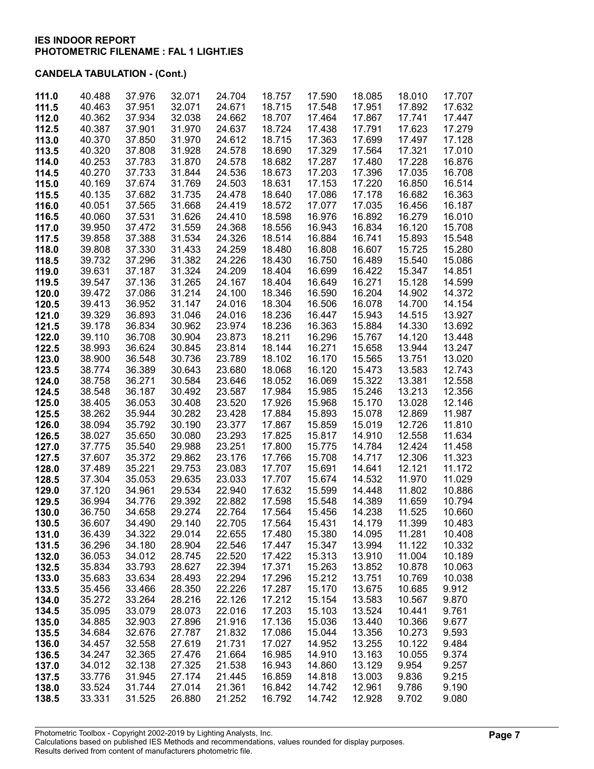| 111.0 | 40.488 | 37.976 | 32.071 | 24.704 | 18.757 | 17.590 | 18.085 | 18.010 | 17.707 |
|-------|--------|--------|--------|--------|--------|--------|--------|--------|--------|
| 111.5 | 40.463 | 37.951 | 32.071 | 24.671 | 18.715 | 17.548 | 17.951 | 17.892 | 17.632 |
| 112.0 | 40.362 | 37.934 | 32.038 | 24.662 | 18.707 | 17.464 | 17.867 | 17.741 | 17.447 |
| 112.5 | 40.387 | 37.901 | 31.970 | 24.637 | 18.724 | 17.438 | 17.791 | 17.623 | 17.279 |
| 113.0 | 40.370 | 37.850 | 31.970 | 24.612 | 18.715 | 17.363 | 17.699 | 17.497 | 17.128 |
| 113.5 | 40.320 | 37.808 | 31.928 | 24.578 | 18.690 | 17.329 | 17.564 | 17.321 | 17.010 |
| 114.0 | 40.253 | 37.783 | 31.870 | 24.578 | 18.682 | 17.287 | 17.480 | 17.228 | 16.876 |
|       |        |        |        |        |        |        |        |        |        |
| 114.5 | 40.270 | 37.733 | 31.844 | 24.536 | 18.673 | 17.203 | 17.396 | 17.035 | 16.708 |
| 115.0 | 40.169 | 37.674 | 31.769 | 24.503 | 18.631 | 17.153 | 17.220 | 16.850 | 16.514 |
| 115.5 | 40.135 | 37.682 | 31.735 | 24.478 | 18.640 | 17.086 | 17.178 | 16.682 | 16.363 |
| 116.0 | 40.051 | 37.565 | 31.668 | 24.419 | 18.572 | 17.077 | 17.035 | 16.456 | 16.187 |
| 116.5 | 40.060 | 37.531 | 31.626 | 24.410 | 18.598 | 16.976 | 16.892 | 16.279 | 16.010 |
| 117.0 | 39.950 | 37.472 | 31.559 | 24.368 | 18.556 | 16.943 | 16.834 | 16.120 | 15.708 |
| 117.5 | 39.858 | 37.388 | 31.534 | 24.326 | 18.514 | 16.884 | 16.741 | 15.893 | 15.548 |
|       |        |        |        |        |        |        |        |        |        |
| 118.0 | 39.808 | 37.330 | 31.433 | 24.259 | 18.480 | 16.808 | 16.607 | 15.725 | 15.280 |
| 118.5 | 39.732 | 37.296 | 31.382 | 24.226 | 18.430 | 16.750 | 16.489 | 15.540 | 15.086 |
| 119.0 | 39.631 | 37.187 | 31.324 | 24.209 | 18.404 | 16.699 | 16.422 | 15.347 | 14.851 |
| 119.5 | 39.547 | 37.136 | 31.265 | 24.167 | 18.404 | 16.649 | 16.271 | 15.128 | 14.599 |
| 120.0 | 39.472 | 37.086 | 31.214 | 24.100 | 18.346 | 16.590 | 16.204 | 14.902 | 14.372 |
| 120.5 | 39.413 | 36.952 | 31.147 | 24.016 | 18.304 | 16.506 | 16.078 | 14.700 | 14.154 |
| 121.0 | 39.329 | 36.893 | 31.046 | 24.016 | 18.236 | 16.447 | 15.943 | 14.515 | 13.927 |
| 121.5 | 39.178 | 36.834 | 30.962 | 23.974 | 18.236 | 16.363 | 15.884 | 14.330 | 13.692 |
|       |        |        |        |        |        |        |        |        |        |
| 122.0 | 39.110 | 36.708 | 30.904 | 23.873 | 18.211 | 16.296 | 15.767 | 14.120 | 13.448 |
| 122.5 | 38.993 | 36.624 | 30.845 | 23.814 | 18.144 | 16.271 | 15.658 | 13.944 | 13.247 |
| 123.0 | 38.900 | 36.548 | 30.736 | 23.789 | 18.102 | 16.170 | 15.565 | 13.751 | 13.020 |
| 123.5 | 38.774 | 36.389 | 30.643 | 23.680 | 18.068 | 16.120 | 15.473 | 13.583 | 12.743 |
| 124.0 | 38.758 | 36.271 | 30.584 | 23.646 | 18.052 | 16.069 | 15.322 | 13.381 | 12.558 |
| 124.5 | 38.548 | 36.187 | 30.492 | 23.587 | 17.984 | 15.985 | 15.246 | 13.213 | 12.356 |
| 125.0 | 38.405 | 36.053 | 30.408 | 23.520 | 17.926 | 15.968 | 15.170 | 13.028 | 12.146 |
| 125.5 | 38.262 | 35.944 | 30.282 | 23.428 | 17.884 | 15.893 | 15.078 | 12.869 | 11.987 |
| 126.0 | 38.094 | 35.792 | 30.190 | 23.377 | 17.867 | 15.859 | 15.019 | 12.726 | 11.810 |
|       |        |        |        |        |        |        |        |        |        |
| 126.5 | 38.027 | 35.650 | 30.080 | 23.293 | 17.825 | 15.817 | 14.910 | 12.558 | 11.634 |
| 127.0 | 37.775 | 35.540 | 29.988 | 23.251 | 17.800 | 15.775 | 14.784 | 12.424 | 11.458 |
| 127.5 | 37.607 | 35.372 | 29.862 | 23.176 | 17.766 | 15.708 | 14.717 | 12.306 | 11.323 |
| 128.0 | 37.489 | 35.221 | 29.753 | 23.083 | 17.707 | 15.691 | 14.641 | 12.121 | 11.172 |
| 128.5 | 37.304 | 35.053 | 29.635 | 23.033 | 17.707 | 15.674 | 14.532 | 11.970 | 11.029 |
| 129.0 | 37.120 | 34.961 | 29.534 | 22.940 | 17.632 | 15.599 | 14.448 | 11.802 | 10.886 |
| 129.5 | 36.994 | 34.776 | 29.392 | 22.882 | 17.598 | 15.548 | 14.389 | 11.659 | 10.794 |
| 130.0 | 36.750 | 34.658 | 29.274 | 22.764 | 17.564 | 15.456 | 14.238 | 11.525 | 10.660 |
| 130.5 | 36.607 | 34.490 | 29.140 | 22.705 | 17.564 | 15.431 | 14.179 | 11.399 | 10.483 |
| 131.0 | 36.439 | 34.322 | 29.014 | 22.655 | 17.480 | 15.380 | 14.095 | 11.281 | 10.408 |
|       |        |        |        |        |        |        |        |        |        |
| 131.5 | 36.296 | 34.180 | 28.904 | 22.546 | 17.447 | 15.347 | 13.994 | 11.122 | 10.332 |
| 132.0 | 36.053 | 34.012 | 28.745 | 22.520 | 17.422 | 15.313 | 13.910 | 11.004 | 10.189 |
| 132.5 | 35.834 | 33.793 | 28.627 | 22.394 | 17.371 | 15.263 | 13.852 | 10.878 | 10.063 |
| 133.0 | 35.683 | 33.634 | 28.493 | 22.294 | 17.296 | 15.212 | 13.751 | 10.769 | 10.038 |
| 133.5 | 35.456 | 33.466 | 28.350 | 22.226 | 17.287 | 15.170 | 13.675 | 10.685 | 9.912  |
| 134.0 | 35.272 | 33.264 | 28.216 | 22.126 | 17.212 | 15.154 | 13.583 | 10.567 | 9.870  |
| 134.5 | 35.095 | 33.079 | 28.073 | 22.016 | 17.203 | 15.103 | 13.524 | 10.441 | 9.761  |
| 135.0 | 34.885 | 32.903 | 27.896 | 21.916 | 17.136 | 15.036 | 13.440 | 10.366 | 9.677  |
|       |        |        |        |        |        |        |        |        |        |
| 135.5 | 34.684 | 32.676 | 27.787 | 21.832 | 17.086 | 15.044 | 13.356 | 10.273 | 9.593  |
| 136.0 | 34.457 | 32.558 | 27.619 | 21.731 | 17.027 | 14.952 | 13.255 | 10.122 | 9.484  |
| 136.5 | 34.247 | 32.365 | 27.476 | 21.664 | 16.985 | 14.910 | 13.163 | 10.055 | 9.374  |
| 137.0 | 34.012 | 32.138 | 27.325 | 21.538 | 16.943 | 14.860 | 13.129 | 9.954  | 9.257  |
| 137.5 | 33.776 | 31.945 | 27.174 | 21.445 | 16.859 | 14.818 | 13.003 | 9.836  | 9.215  |
| 138.0 | 33.524 | 31.744 | 27.014 | 21.361 | 16.842 | 14.742 | 12.961 | 9.786  | 9.190  |
| 138.5 | 33.331 | 31.525 | 26.880 | 21.252 | 16.792 | 14.742 | 12.928 | 9.702  | 9.080  |
|       |        |        |        |        |        |        |        |        |        |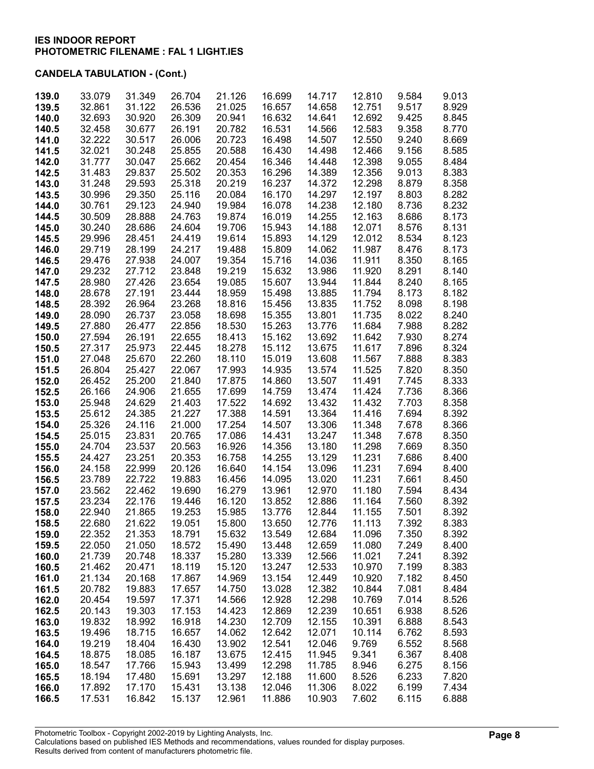| 139.0          | 33.079           | 31.349           | 26.704           | 21.126           | 16.699           | 14.717           | 12.810           | 9.584          | 9.013          |
|----------------|------------------|------------------|------------------|------------------|------------------|------------------|------------------|----------------|----------------|
| 139.5          | 32.861           | 31.122           | 26.536           | 21.025           | 16.657           | 14.658           | 12.751           | 9.517          | 8.929          |
| 140.0          | 32.693           | 30.920           | 26.309           | 20.941           | 16.632           | 14.641           | 12.692           | 9.425          | 8.845          |
| 140.5          | 32.458           | 30.677           | 26.191           | 20.782           | 16.531           | 14.566           | 12.583           | 9.358          | 8.770          |
| 141.0          | 32.222           | 30.517           | 26.006           | 20.723           | 16.498           | 14.507           | 12.550           | 9.240          | 8.669          |
| 141.5          | 32.021           | 30.248           | 25.855           | 20.588           | 16.430           | 14.498           | 12.466           | 9.156          | 8.585          |
| 142.0          | 31.777           | 30.047           | 25.662           | 20.454           | 16.346           | 14.448           | 12.398           | 9.055          | 8.484          |
| 142.5          | 31.483           | 29.837           | 25.502           | 20.353           | 16.296           | 14.389           | 12.356           | 9.013          | 8.383          |
| 143.0          | 31.248           | 29.593           | 25.318           | 20.219           | 16.237           | 14.372           | 12.298           | 8.879          | 8.358          |
| 143.5          | 30.996           | 29.350           | 25.116           | 20.084           | 16.170           | 14.297           | 12.197           | 8.803          | 8.282          |
| 144.0          | 30.761           | 29.123           | 24.940           | 19.984           | 16.078           | 14.238           | 12.180           | 8.736          | 8.232          |
| 144.5          | 30.509           | 28.888           | 24.763           | 19.874           | 16.019           | 14.255           | 12.163           | 8.686          | 8.173          |
| 145.0          | 30.240           | 28.686           | 24.604           | 19.706           | 15.943           | 14.188           | 12.071           | 8.576          | 8.131          |
| 145.5          | 29.996           | 28.451           | 24.419           | 19.614           | 15.893           | 14.129           | 12.012           | 8.534          | 8.123          |
| 146.0          | 29.719           | 28.199           | 24.217           | 19.488           | 15.809           | 14.062           | 11.987           | 8.476          | 8.173          |
| 146.5          | 29.476           | 27.938           | 24.007           | 19.354           | 15.716           | 14.036           | 11.911           | 8.350          | 8.165          |
| 147.0          | 29.232           | 27.712           | 23.848           | 19.219           | 15.632           | 13.986           | 11.920           | 8.291          | 8.140          |
| 147.5          | 28.980           | 27.426           | 23.654           | 19.085           | 15.607           | 13.944           | 11.844           | 8.240          | 8.165          |
| 148.0          | 28.678           | 27.191           | 23.444           | 18.959           | 15.498           | 13.885           | 11.794           | 8.173          | 8.182          |
| 148.5          | 28.392           | 26.964           | 23.268           | 18.816           | 15.456           | 13.835           | 11.752           | 8.098          | 8.198          |
| 149.0          | 28.090           | 26.737           | 23.058           | 18.698           | 15.355           | 13.801           | 11.735           | 8.022          | 8.240          |
| 149.5          | 27.880           | 26.477           | 22.856           | 18.530           | 15.263           | 13.776           | 11.684           | 7.988          | 8.282          |
| 150.0          | 27.594           | 26.191           | 22.655           | 18.413           | 15.162           | 13.692           | 11.642           | 7.930          | 8.274          |
| 150.5          | 27.317           | 25.973           | 22.445           | 18.278           | 15.112           | 13.675           | 11.617           | 7.896          | 8.324          |
| 151.0          | 27.048           | 25.670           | 22.260           | 18.110           | 15.019           | 13.608           | 11.567           | 7.888          | 8.383          |
| 151.5          | 26.804           | 25.427           | 22.067           | 17.993           | 14.935           | 13.574           | 11.525           | 7.820          | 8.350          |
| 152.0          | 26.452           | 25.200           | 21.840           | 17.875           | 14.860           | 13.507           | 11.491           | 7.745          | 8.333          |
| 152.5          | 26.166           | 24.906           | 21.655           | 17.699           | 14.759           | 13.474           | 11.424           | 7.736          | 8.366          |
| 153.0          | 25.948           | 24.629           | 21.403           | 17.522           | 14.692           | 13.432           | 11.432           | 7.703          | 8.358          |
| 153.5          | 25.612           | 24.385           | 21.227           | 17.388           | 14.591           | 13.364           | 11.416           | 7.694          | 8.392          |
| 154.0          | 25.326           | 24.116           | 21.000           | 17.254           | 14.507           | 13.306           | 11.348           | 7.678          | 8.366          |
| 154.5          | 25.015           | 23.831           | 20.765           | 17.086           | 14.431           | 13.247           | 11.348           | 7.678          | 8.350          |
| 155.0          | 24.704           | 23.537           | 20.563           | 16.926           | 14.356           | 13.180           | 11.298           | 7.669          | 8.350          |
| 155.5          | 24.427           | 23.251           | 20.353           | 16.758           | 14.255           | 13.129           | 11.231           | 7.686          | 8.400          |
| 156.0          | 24.158           | 22.999           | 20.126           | 16.640           | 14.154           | 13.096           | 11.231           | 7.694          | 8.400          |
| 156.5          | 23.789           | 22.722           | 19.883           | 16.456           | 14.095           | 13.020           | 11.231           | 7.661          | 8.450          |
| 157.0          | 23.562           | 22.462           | 19.690           | 16.279           | 13.961           | 12.970           | 11.180           | 7.594          | 8.434          |
| 157.5          | 23.234           | 22.176           | 19.446           | 16.120           | 13.852           | 12.886           | 11.164           | 7.560          | 8.392          |
| 158.0          | 22.940           | 21.865           | 19.253           | 15.985           | 13.776           | 12.844           | 11.155           | 7.501          | 8.392          |
| 158.5          | 22.680           | 21.622           | 19.051           | 15.800           | 13.650           | 12.776           | 11.113           | 7.392          | 8.383          |
| 159.0          | 22.352           | 21.353           | 18.791<br>18.572 | 15.632           | 13.549           | 12.684<br>12.659 | 11.096           | 7.350          | 8.392          |
| 159.5          | 22.050<br>21.739 | 21.050<br>20.748 | 18.337           | 15.490<br>15.280 | 13.448<br>13.339 | 12.566           | 11.080<br>11.021 | 7.249<br>7.241 | 8.400<br>8.392 |
| 160.0<br>160.5 | 21.462           | 20.471           | 18.119           | 15.120           | 13.247           | 12.533           | 10.970           | 7.199          | 8.383          |
| 161.0          | 21.134           | 20.168           | 17.867           | 14.969           | 13.154           | 12.449           | 10.920           | 7.182          | 8.450          |
| 161.5          | 20.782           | 19.883           | 17.657           | 14.750           | 13.028           | 12.382           | 10.844           | 7.081          | 8.484          |
| 162.0          | 20.454           | 19.597           | 17.371           | 14.566           | 12.928           | 12.298           | 10.769           | 7.014          | 8.526          |
| 162.5          | 20.143           | 19.303           | 17.153           | 14.423           | 12.869           | 12.239           | 10.651           | 6.938          | 8.526          |
| 163.0          | 19.832           | 18.992           | 16.918           | 14.230           | 12.709           | 12.155           | 10.391           | 6.888          | 8.543          |
| 163.5          | 19.496           | 18.715           | 16.657           | 14.062           | 12.642           | 12.071           | 10.114           | 6.762          | 8.593          |
| 164.0          | 19.219           | 18.404           | 16.430           | 13.902           | 12.541           | 12.046           | 9.769            | 6.552          | 8.568          |
| 164.5          | 18.875           | 18.085           | 16.187           | 13.675           | 12.415           | 11.945           | 9.341            | 6.367          | 8.408          |
| 165.0          | 18.547           | 17.766           | 15.943           | 13.499           | 12.298           | 11.785           | 8.946            | 6.275          | 8.156          |
| 165.5          | 18.194           | 17.480           | 15.691           | 13.297           | 12.188           | 11.600           | 8.526            | 6.233          | 7.820          |
| 166.0          | 17.892           | 17.170           | 15.431           | 13.138           | 12.046           | 11.306           | 8.022            | 6.199          | 7.434          |
| 166.5          | 17.531           | 16.842           | 15.137           | 12.961           | 11.886           | 10.903           | 7.602            | 6.115          | 6.888          |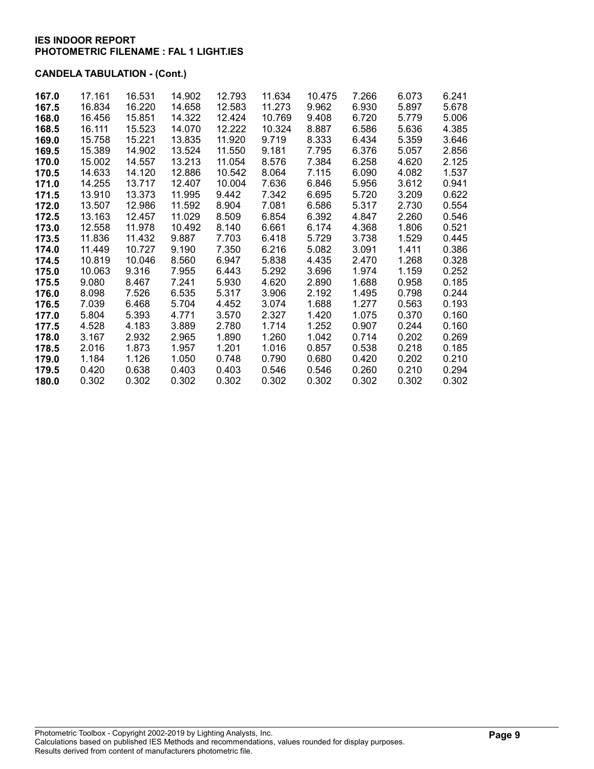| 167.0 | 17.161 | 16.531 | 14.902 | 12.793 | 11.634 | 10.475 | 7.266 | 6.073 | 6.241 |
|-------|--------|--------|--------|--------|--------|--------|-------|-------|-------|
| 167.5 | 16.834 | 16.220 | 14.658 | 12.583 | 11.273 | 9.962  | 6.930 | 5.897 | 5.678 |
| 168.0 | 16.456 | 15.851 | 14.322 | 12.424 | 10.769 | 9.408  | 6.720 | 5.779 | 5.006 |
| 168.5 | 16.111 | 15.523 | 14.070 | 12.222 | 10.324 | 8.887  | 6.586 | 5.636 | 4.385 |
| 169.0 | 15.758 | 15.221 | 13.835 | 11.920 | 9.719  | 8.333  | 6.434 | 5.359 | 3.646 |
| 169.5 | 15.389 | 14.902 | 13.524 | 11.550 | 9.181  | 7.795  | 6.376 | 5.057 | 2.856 |
| 170.0 | 15.002 | 14.557 | 13.213 | 11.054 | 8.576  | 7.384  | 6.258 | 4.620 | 2.125 |
| 170.5 | 14.633 | 14.120 | 12.886 | 10.542 | 8.064  | 7.115  | 6.090 | 4.082 | 1.537 |
| 171.0 | 14.255 | 13.717 | 12.407 | 10.004 | 7.636  | 6.846  | 5.956 | 3.612 | 0.941 |
| 171.5 | 13.910 | 13.373 | 11.995 | 9.442  | 7.342  | 6.695  | 5.720 | 3.209 | 0.622 |
| 172.0 | 13.507 | 12.986 | 11.592 | 8.904  | 7.081  | 6.586  | 5.317 | 2.730 | 0.554 |
| 172.5 | 13.163 | 12.457 | 11.029 | 8.509  | 6.854  | 6.392  | 4.847 | 2.260 | 0.546 |
| 173.0 | 12.558 | 11.978 | 10.492 | 8.140  | 6.661  | 6.174  | 4.368 | 1.806 | 0.521 |
| 173.5 | 11.836 | 11.432 | 9.887  | 7.703  | 6.418  | 5.729  | 3.738 | 1.529 | 0.445 |
| 174.0 | 11.449 | 10.727 | 9.190  | 7.350  | 6.216  | 5.082  | 3.091 | 1.411 | 0.386 |
| 174.5 | 10.819 | 10.046 | 8.560  | 6.947  | 5.838  | 4.435  | 2.470 | 1.268 | 0.328 |
| 175.0 | 10.063 | 9.316  | 7.955  | 6.443  | 5.292  | 3.696  | 1.974 | 1.159 | 0.252 |
| 175.5 | 9.080  | 8.467  | 7.241  | 5.930  | 4.620  | 2.890  | 1.688 | 0.958 | 0.185 |
| 176.0 | 8.098  | 7.526  | 6.535  | 5.317  | 3.906  | 2.192  | 1.495 | 0.798 | 0.244 |
| 176.5 | 7.039  | 6.468  | 5.704  | 4.452  | 3.074  | 1.688  | 1.277 | 0.563 | 0.193 |
| 177.0 | 5.804  | 5.393  | 4.771  | 3.570  | 2.327  | 1.420  | 1.075 | 0.370 | 0.160 |
| 177.5 | 4.528  | 4.183  | 3.889  | 2.780  | 1.714  | 1.252  | 0.907 | 0.244 | 0.160 |
| 178.0 | 3.167  | 2.932  | 2.965  | 1.890  | 1.260  | 1.042  | 0.714 | 0.202 | 0.269 |
| 178.5 | 2.016  | 1.873  | 1.957  | 1.201  | 1.016  | 0.857  | 0.538 | 0.218 | 0.185 |
| 179.0 | 1.184  | 1.126  | 1.050  | 0.748  | 0.790  | 0.680  | 0.420 | 0.202 | 0.210 |
| 179.5 | 0.420  | 0.638  | 0.403  | 0.403  | 0.546  | 0.546  | 0.260 | 0.210 | 0.294 |
| 180.0 | 0.302  | 0.302  | 0.302  | 0.302  | 0.302  | 0.302  | 0.302 | 0.302 | 0.302 |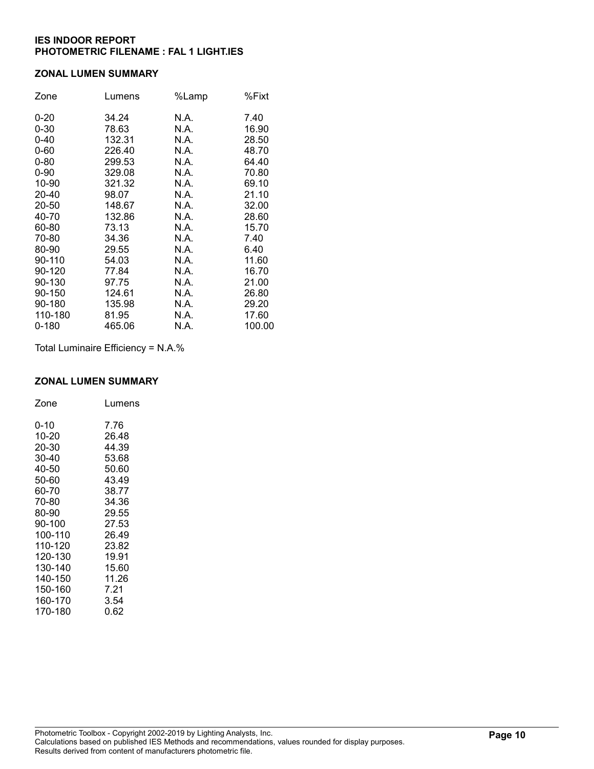#### ZONAL LUMEN SUMMARY

| Zone     | Lumens | %Lamp | %Fixt  |
|----------|--------|-------|--------|
| $0 - 20$ | 34.24  | N.A.  | 7.40   |
| $0 - 30$ | 78.63  | N.A.  | 16.90  |
| $0 - 40$ | 132.31 | N.A.  | 28.50  |
| $0 - 60$ | 226.40 | N.A.  | 48.70  |
| $0 - 80$ | 299.53 | N.A.  | 64.40  |
| $0 - 90$ | 329.08 | N.A.  | 70.80  |
| 10-90    | 321.32 | N.A.  | 69.10  |
| 20-40    | 98.07  | N.A.  | 21.10  |
| 20-50    | 148.67 | N.A.  | 32.00  |
| 40-70    | 132.86 | N.A.  | 28.60  |
| 60-80    | 73.13  | N.A.  | 15.70  |
| 70-80    | 34.36  | N.A.  | 7.40   |
| 80-90    | 29.55  | N.A.  | 6.40   |
| 90-110   | 54.03  | N.A.  | 11.60  |
| 90-120   | 77.84  | N.A.  | 16.70  |
| 90-130   | 97.75  | N.A.  | 21.00  |
| 90-150   | 124.61 | N.A.  | 26.80  |
| 90-180   | 135.98 | N.A.  | 29.20  |
| 110-180  | 81.95  | N.A.  | 17.60  |
| 0-180    | 465.06 | N.A.  | 100.00 |

Total Luminaire Efficiency = N.A.%

### ZONAL LUMEN SUMMARY

| Zone    | Lumens |
|---------|--------|
| 0-10    | 7.76   |
| 10-20   | 26.48  |
| 20-30   | 44.39  |
| 30-40   | 53.68  |
| 40-50   | 50.60  |
| 50-60   | 43.49  |
| 60-70   | 38.77  |
| 70-80   | 34.36  |
| 80-90   | 29.55  |
| 90-100  | 27.53  |
| 100-110 | 26.49  |
| 110-120 | 23.82  |
| 120-130 | 19.91  |
| 130-140 | 15.60  |
| 140-150 | 11.26  |
| 150-160 | 7.21   |
| 160-170 | 3.54   |
| 170-180 | 0.62   |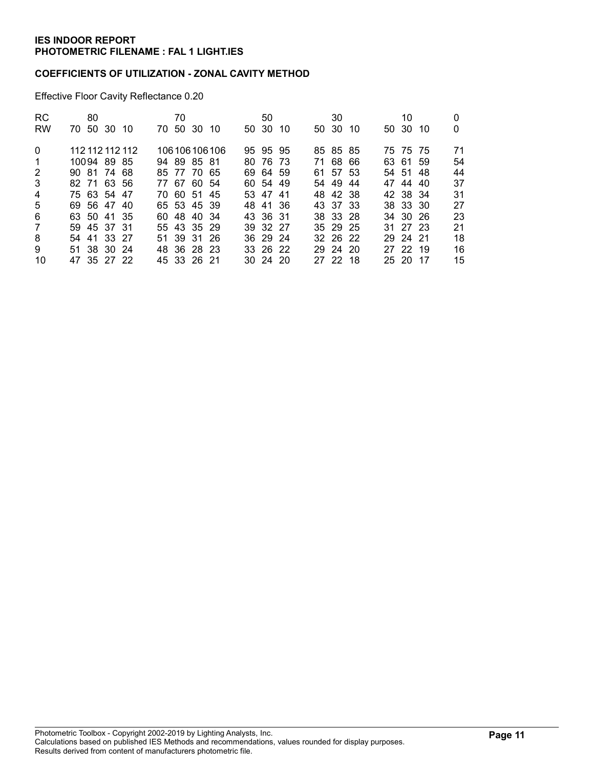### COEFFICIENTS OF UTILIZATION - ZONAL CAVITY METHOD

Effective Floor Cavity Reflectance 0.20

| <b>RC</b>      | 80              |  | 70 |             |                 | 50           |     | 30       |     | 10       |     |    |
|----------------|-----------------|--|----|-------------|-----------------|--------------|-----|----------|-----|----------|-----|----|
| <b>RW</b>      | 70 50 30 10     |  |    | 70 50 30 10 |                 | 50 30        | -10 | 50 30    | -10 | 50 30    | -10 | 0  |
| $\Omega$       | 112 112 112 112 |  |    |             | 106 106 106 106 | 95 95 95     |     | 85 85 85 |     | 75 75 75 |     | 71 |
| $\overline{1}$ | 10094 89 85     |  |    | 94 89 85 81 |                 | 80 76 73     |     | 71 68 66 |     | 63 61 59 |     | 54 |
| 2              | 90 81 74 68     |  |    | 85 77 70 65 |                 | 69 64 59     |     | 61 57 53 |     | 54 51 48 |     | 44 |
| $\mathbf{3}$   | 82 71 63 56     |  |    | 77 67 60 54 |                 | 60 54 49     |     | 54 49    | 44  | 47 44 40 |     | 37 |
| $\overline{4}$ | 75 63 54 47     |  |    | 70 60 51 45 |                 | 53 47 41     |     | 48 42 38 |     | 42 38 34 |     | 31 |
| 5              | 69 56 47 40     |  |    | 65 53 45 39 |                 | 48 41 36     |     | 43 37 33 |     | 38 33 30 |     | 27 |
| 6              | 63 50 41 35     |  |    | 60 48 40 34 |                 | 43 36 31     |     | 38 33 28 |     | 34 30 26 |     | 23 |
| 7              | 59 45 37 31     |  |    | 55 43 35 29 |                 | 39 32 27     |     | 35 29 25 |     | 31 27 23 |     | 21 |
| 8              | 54 41 33 27     |  |    | 51 39 31 26 |                 | 36 29 24     |     | 32 26 22 |     | 29 24 21 |     | 18 |
| 9              | 51 38 30 24     |  |    | 48 36 28 23 |                 | 33 26 22     |     | 29 24 20 |     | 27 22 19 |     | 16 |
| 10             | 47 35 27 22     |  |    | 45 33 26 21 |                 | $30\,24\,20$ |     | 27 22 18 |     | 25 20 17 |     | 15 |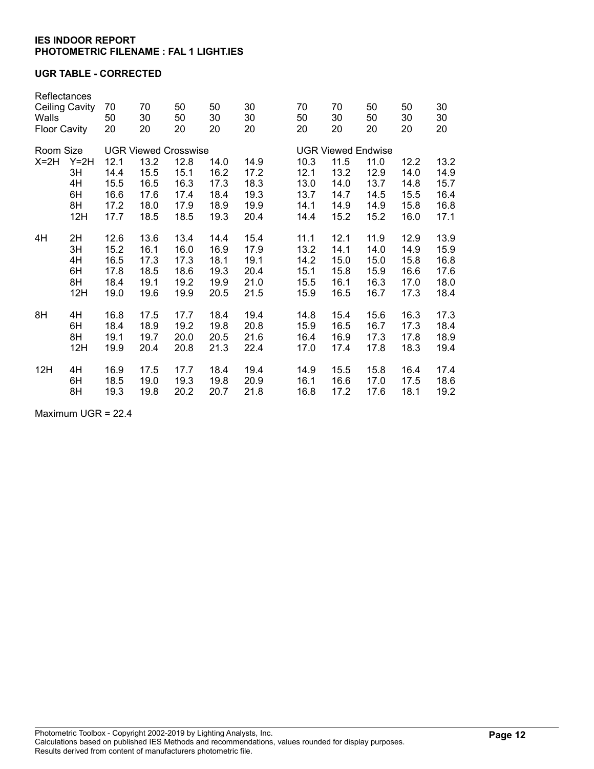### UGR TABLE - CORRECTED

| Reflectances<br><b>Ceiling Cavity</b><br>Walls<br><b>Floor Cavity</b> |        | 70<br>50<br>20              | 70<br>30<br>20 | 50<br>50<br>20 | 50<br>30<br>20 | 30<br>30<br>20 | 70<br>50<br>20 | 70<br>30<br>20            | 50<br>50<br>20 | 50<br>30<br>20 | 30<br>30<br>20 |  |
|-----------------------------------------------------------------------|--------|-----------------------------|----------------|----------------|----------------|----------------|----------------|---------------------------|----------------|----------------|----------------|--|
| Room Size                                                             |        | <b>UGR Viewed Crosswise</b> |                |                |                |                |                | <b>UGR Viewed Endwise</b> |                |                |                |  |
| $X=2H$                                                                | $Y=2H$ | 12.1                        | 13.2           | 12.8           | 14.0           | 14.9           | 10.3           | 11.5                      | 11.0           | 12.2           | 13.2           |  |
|                                                                       | 3H     | 14.4                        | 15.5           | 15.1           | 16.2           | 17.2           | 12.1           | 13.2                      | 12.9           | 14.0           | 14.9           |  |
|                                                                       | 4H     | 15.5                        | 16.5           | 16.3           | 17.3           | 18.3           | 13.0           | 14.0                      | 13.7           | 14.8           | 15.7           |  |
|                                                                       | 6H     | 16.6                        | 17.6           | 17.4           | 18.4           | 19.3           | 13.7           | 14.7                      | 14.5           | 15.5           | 16.4           |  |
|                                                                       | 8H     | 17.2                        | 18.0           | 17.9           | 18.9           | 19.9           | 14.1           | 14.9                      | 14.9           | 15.8           | 16.8           |  |
|                                                                       | 12H    | 17.7                        | 18.5           | 18.5           | 19.3           | 20.4           | 14.4           | 15.2                      | 15.2           | 16.0           | 17.1           |  |
| 4H                                                                    | 2H     | 12.6                        | 13.6           | 13.4           | 14.4           | 15.4           | 11.1           | 12.1                      | 11.9           | 12.9           | 13.9           |  |
|                                                                       | 3H     | 15.2                        | 16.1           | 16.0           | 16.9           | 17.9           | 13.2           | 14.1                      | 14.0           | 14.9           | 15.9           |  |
|                                                                       | 4H     | 16.5                        | 17.3           | 17.3           | 18.1           | 19.1           | 14.2           | 15.0                      | 15.0           | 15.8           | 16.8           |  |
|                                                                       | 6H     | 17.8                        | 18.5           | 18.6           | 19.3           | 20.4           | 15.1           | 15.8                      | 15.9           | 16.6           | 17.6           |  |
|                                                                       | 8H     | 18.4                        | 19.1           | 19.2           | 19.9           | 21.0           | 15.5           | 16.1                      | 16.3           | 17.0           | 18.0           |  |
|                                                                       | 12H    | 19.0                        | 19.6           | 19.9           | 20.5           | 21.5           | 15.9           | 16.5                      | 16.7           | 17.3           | 18.4           |  |
| 8H                                                                    | 4H     | 16.8                        | 17.5           | 17.7           | 18.4           | 19.4           | 14.8           | 15.4                      | 15.6           | 16.3           | 17.3           |  |
|                                                                       | 6H     | 18.4                        | 18.9           | 19.2           | 19.8           | 20.8           | 15.9           | 16.5                      | 16.7           | 17.3           | 18.4           |  |
|                                                                       | 8H     | 19.1                        | 19.7           | 20.0           | 20.5           | 21.6           | 16.4           | 16.9                      | 17.3           | 17.8           | 18.9           |  |
|                                                                       | 12H    | 19.9                        | 20.4           | 20.8           | 21.3           | 22.4           | 17.0           | 17.4                      | 17.8           | 18.3           | 19.4           |  |
| 12H                                                                   | 4H     | 16.9                        | 17.5           | 17.7           | 18.4           | 19.4           | 14.9           | 15.5                      | 15.8           | 16.4           | 17.4           |  |
|                                                                       | 6H     | 18.5                        | 19.0           | 19.3           | 19.8           | 20.9           | 16.1           | 16.6                      | 17.0           | 17.5           | 18.6           |  |
|                                                                       | 8H     | 19.3                        | 19.8           | 20.2           | 20.7           | 21.8           | 16.8           | 17.2                      | 17.6           | 18.1           | 19.2           |  |
|                                                                       |        |                             |                |                |                |                |                |                           |                |                |                |  |

Maximum UGR = 22.4